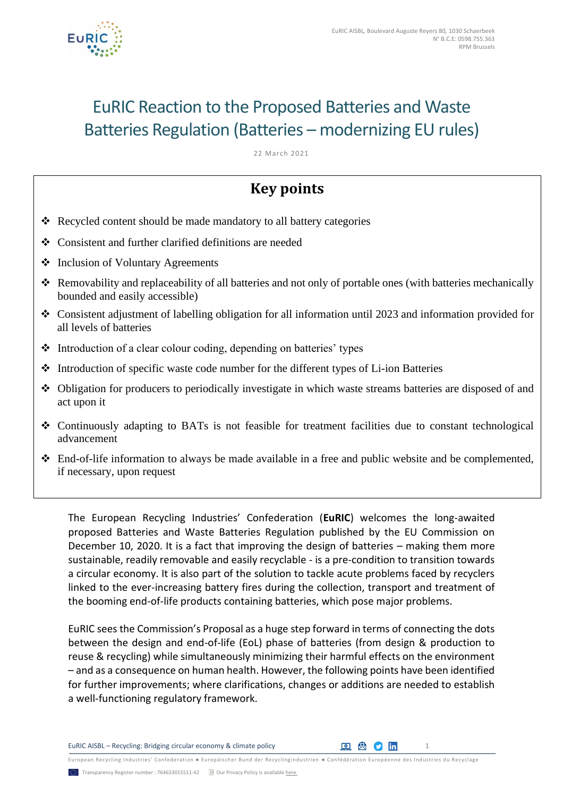

# EuRIC Reaction to the Proposed Batteries and Waste Batteries Regulation (Batteries – modernizing EU rules)

22 March 2021

# **Key points**

- ❖ Recycled content should be made mandatory to all battery categories
- ❖ Consistent and further clarified definitions are needed
- ❖ Inclusion of Voluntary Agreements
- ❖ Removability and replaceability of all batteries and not only of portable ones (with batteries mechanically bounded and easily accessible)
- ❖ Consistent adjustment of labelling obligation for all information until 2023 and information provided for all levels of batteries
- ❖ Introduction of a clear colour coding, depending on batteries' types
- ❖ Introduction of specific waste code number for the different types of Li-ion Batteries
- ❖ Obligation for producers to periodically investigate in which waste streams batteries are disposed of and act upon it
- ❖ Continuously adapting to BATs is not feasible for treatment facilities due to constant technological advancement
- ❖ End-of-life information to always be made available in a free and public website and be complemented, if necessary, upon request

The European Recycling Industries' Confederation (**EuRIC**) welcomes the long-awaited proposed Batteries and Waste Batteries Regulation published by the EU Commission on December 10, 2020. It is a fact that improving the design of batteries – making them more sustainable, readily removable and easily recyclable - is a pre-condition to transition towards a circular economy. It is also part of the solution to tackle acute problems faced by recyclers linked to the ever-increasing battery fires during the collection, transport and treatment of the booming end-of-life products containing batteries, which pose major problems.

EuRIC sees the Commission's Proposal as a huge step forward in terms of connecting the dots between the design and end-of-life (EoL) phase of batteries (from design & production to reuse & recycling) while simultaneously minimizing their harmful effects on the environment – and as a consequence on human health. However, the following points have been identified for further improvements; where clarifications, changes or additions are needed to establish a well-functioning regulatory framework.

EuRIC AISBL – Recycling: Bridging circular economy & climate policy <sup>1</sup>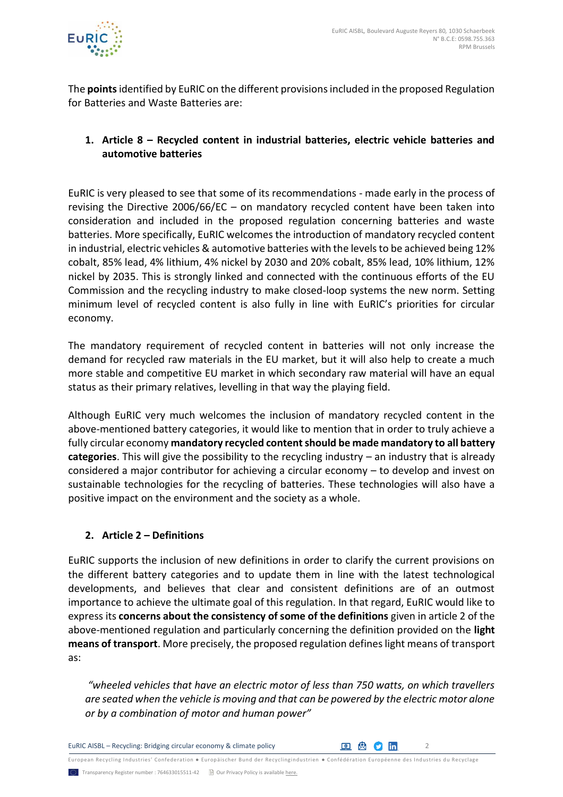

The **points**identified by EuRIC on the different provisions included in the proposed Regulation for Batteries and Waste Batteries are:

# **1. Article 8 – Recycled content in industrial batteries, electric vehicle batteries and automotive batteries**

EuRIC is very pleased to see that some of its recommendations - made early in the process of revising the Directive 2006/66/EC – on mandatory recycled content have been taken into consideration and included in the proposed regulation concerning batteries and waste batteries. More specifically, EuRIC welcomes the introduction of mandatory recycled content in industrial, electric vehicles & automotive batteries with the levels to be achieved being 12% cobalt, 85% lead, 4% lithium, 4% nickel by 2030 and 20% cobalt, 85% lead, 10% lithium, 12% nickel by 2035. This is strongly linked and connected with the continuous efforts of the EU Commission and the recycling industry to make closed-loop systems the new norm. Setting minimum level of recycled content is also fully in line with EuRIC's priorities for circular economy.

The mandatory requirement of recycled content in batteries will not only increase the demand for recycled raw materials in the EU market, but it will also help to create a much more stable and competitive EU market in which secondary raw material will have an equal status as their primary relatives, levelling in that way the playing field.

Although EuRIC very much welcomes the inclusion of mandatory recycled content in the above-mentioned battery categories, it would like to mention that in order to truly achieve a fully circular economy **mandatory recycled content should be made mandatory to all battery categories**. This will give the possibility to the recycling industry – an industry that is already considered a major contributor for achieving a circular economy – to develop and invest on sustainable technologies for the recycling of batteries. These technologies will also have a positive impact on the environment and the society as a whole.

# **2. Article 2 – Definitions**

EuRIC supports the inclusion of new definitions in order to clarify the current provisions on the different battery categories and to update them in line with the latest technological developments, and believes that clear and consistent definitions are of an outmost importance to achieve the ultimate goal of this regulation. In that regard, EuRIC would like to express its **concerns about the consistency of some of the definitions** given in article 2 of the above-mentioned regulation and particularly concerning the definition provided on the **light means of transport**. More precisely, the proposed regulation defines light means of transport as:

*"wheeled vehicles that have an electric motor of less than 750 watts, on which travellers are seated when the vehicle is moving and that can be powered by the electric motor alone or by a combination of motor and human power"*

EuRIC AISBL – Recycling: Bridging circular economy & climate policy <sup>2</sup>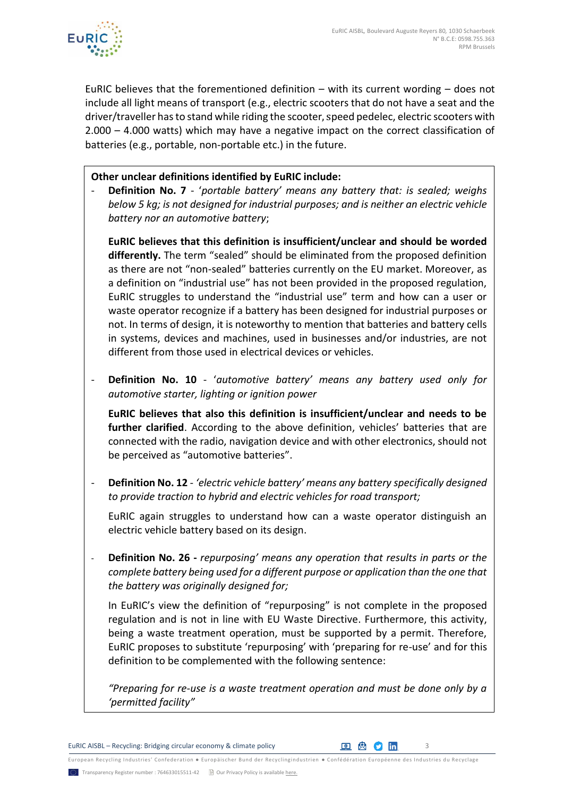

EuRIC believes that the forementioned definition  $-$  with its current wording  $-$  does not include all light means of transport (e.g., electric scooters that do not have a seat and the driver/traveller has to stand while riding the scooter, speed pedelec, electric scooters with 2.000 – 4.000 watts) which may have a negative impact on the correct classification of batteries (e.g., portable, non-portable etc.) in the future.

#### **Other unclear definitions identified by EuRIC include:**

- **Definition No. 7** - '*portable battery' means any battery that: is sealed; weighs below 5 kg; is not designed for industrial purposes; and is neither an electric vehicle battery nor an automotive battery*;

**EuRIC believes that this definition is insufficient/unclear and should be worded differently.** The term "sealed" should be eliminated from the proposed definition as there are not "non-sealed" batteries currently on the EU market. Moreover, as a definition on "industrial use" has not been provided in the proposed regulation, EuRIC struggles to understand the "industrial use" term and how can a user or waste operator recognize if a battery has been designed for industrial purposes or not. In terms of design, it is noteworthy to mention that batteries and battery cells in systems, devices and machines, used in businesses and/or industries, are not different from those used in electrical devices or vehicles.

- **Definition No. 10** - '*automotive battery' means any battery used only for automotive starter, lighting or ignition power*

**EuRIC believes that also this definition is insufficient/unclear and needs to be further clarified**. According to the above definition, vehicles' batteries that are connected with the radio, navigation device and with other electronics, should not be perceived as "automotive batteries".

- **Definition No. 12** *- 'electric vehicle battery' means any battery specifically designed to provide traction to hybrid and electric vehicles for road transport;*

EuRIC again struggles to understand how can a waste operator distinguish an electric vehicle battery based on its design.

- **Definition No. 26 -** *repurposing' means any operation that results in parts or the complete battery being used for a different purpose or application than the one that the battery was originally designed for;*

In EuRIC's view the definition of "repurposing" is not complete in the proposed regulation and is not in line with EU Waste Directive. Furthermore, this activity, being a waste treatment operation, must be supported by a permit. Therefore, EuRIC proposes to substitute 'repurposing' with 'preparing for re-use' and for this definition to be complemented with the following sentence:

*"Preparing for re-use is a waste treatment operation and must be done only by a 'permitted facility"*

EuRIC AISBL – Recycling: Bridging circular economy & climate policy  $\Box$  3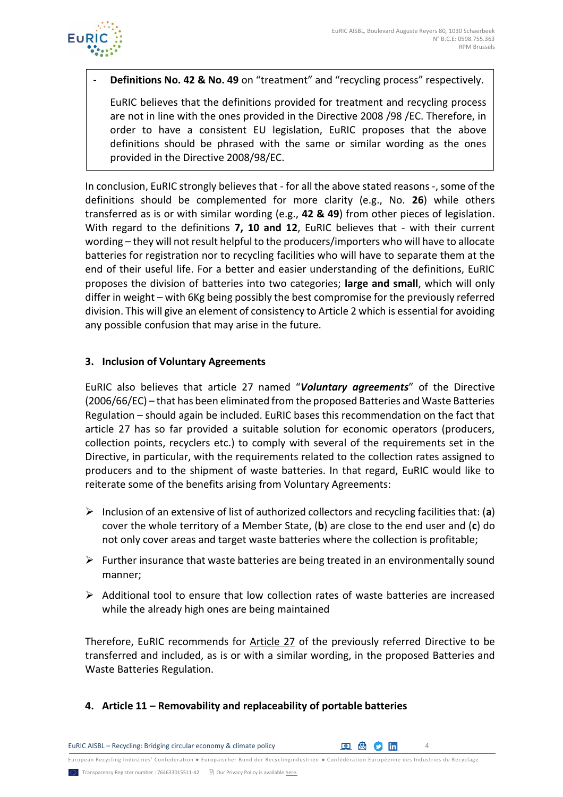

- **Definitions No. 42 & No. 49** on "treatment" and "recycling process" respectively.

EuRIC believes that the definitions provided for treatment and recycling process are not in line with the ones provided in the Directive 2008 /98 /EC. Therefore, in order to have a consistent EU legislation, EuRIC proposes that the above definitions should be phrased with the same or similar wording as the ones provided in the Directive 2008/98/EC.

In conclusion, EuRIC strongly believes that - for all the above stated reasons -, some of the definitions should be complemented for more clarity (e.g., No. **26**) while others transferred as is or with similar wording (e.g., **42 & 49**) from other pieces of legislation. With regard to the definitions **7, 10 and 12**, EuRIC believes that - with their current wording – they will not result helpful to the producers/importers who will have to allocate batteries for registration nor to recycling facilities who will have to separate them at the end of their useful life. For a better and easier understanding of the definitions, EuRIC proposes the division of batteries into two categories; **large and small**, which will only differ in weight – with 6Kg being possibly the best compromise for the previously referred division. This will give an element of consistency to Article 2 which is essential for avoiding any possible confusion that may arise in the future.

#### **3. Inclusion of Voluntary Agreements**

EuRIC also believes that article 27 named "*Voluntary agreements*" of the Directive (2006/66/EC) – that has been eliminated from the proposed Batteries and Waste Batteries Regulation – should again be included. EuRIC bases this recommendation on the fact that article 27 has so far provided a suitable solution for economic operators (producers, collection points, recyclers etc.) to comply with several of the requirements set in the Directive, in particular, with the requirements related to the collection rates assigned to producers and to the shipment of waste batteries. In that regard, EuRIC would like to reiterate some of the benefits arising from Voluntary Agreements:

- ➢ Inclusion of an extensive of list of authorized collectors and recycling facilities that: (**a**) cover the whole territory of a Member State, (**b**) are close to the end user and (**c**) do not only cover areas and target waste batteries where the collection is profitable;
- $\triangleright$  Further insurance that waste batteries are being treated in an environmentally sound manner;
- $\triangleright$  Additional tool to ensure that low collection rates of waste batteries are increased while the already high ones are being maintained

Therefore, EuRIC recommends for Article 27 of the previously referred Directive to be transferred and included, as is or with a similar wording, in the proposed Batteries and Waste Batteries Regulation.

**4. Article 11 – Removability and replaceability of portable batteries**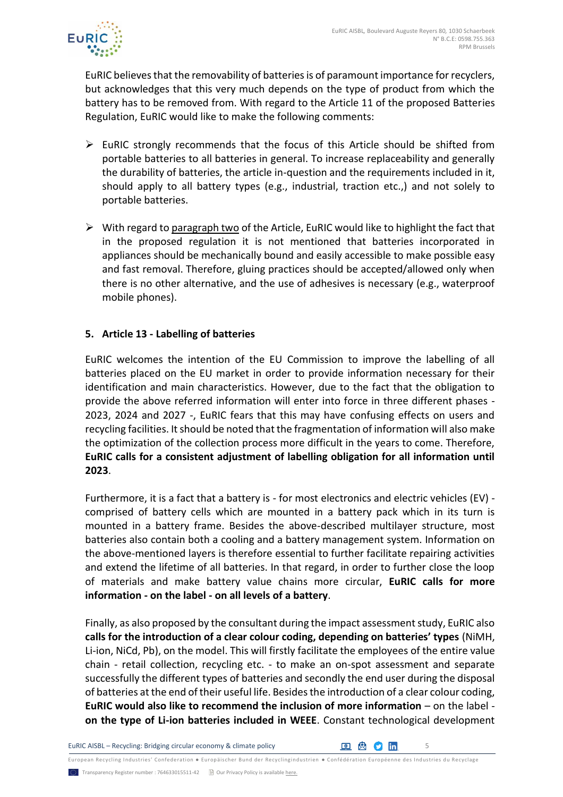

EuRIC believes that the removability of batteries is of paramount importance for recyclers, but acknowledges that this very much depends on the type of product from which the battery has to be removed from. With regard to the Article 11 of the proposed Batteries Regulation, EuRIC would like to make the following comments:

- $\triangleright$  EuRIC strongly recommends that the focus of this Article should be shifted from portable batteries to all batteries in general. To increase replaceability and generally the durability of batteries, the article in-question and the requirements included in it, should apply to all battery types (e.g., industrial, traction etc.,) and not solely to portable batteries.
- $\triangleright$  With regard to paragraph two of the Article, EuRIC would like to highlight the fact that in the proposed regulation it is not mentioned that batteries incorporated in appliances should be mechanically bound and easily accessible to make possible easy and fast removal. Therefore, gluing practices should be accepted/allowed only when there is no other alternative, and the use of adhesives is necessary (e.g., waterproof mobile phones).

#### **5. Article 13 - Labelling of batteries**

EuRIC welcomes the intention of the EU Commission to improve the labelling of all batteries placed on the EU market in order to provide information necessary for their identification and main characteristics. However, due to the fact that the obligation to provide the above referred information will enter into force in three different phases - 2023, 2024 and 2027 -, EuRIC fears that this may have confusing effects on users and recycling facilities. It should be noted that the fragmentation of information will also make the optimization of the collection process more difficult in the years to come. Therefore, **EuRIC calls for a consistent adjustment of labelling obligation for all information until 2023**.

Furthermore, it is a fact that a battery is - for most electronics and electric vehicles (EV) comprised of battery cells which are mounted in a battery pack which in its turn is mounted in a battery frame. Besides the above-described multilayer structure, most batteries also contain both a cooling and a battery management system. Information on the above-mentioned layers is therefore essential to further facilitate repairing activities and extend the lifetime of all batteries. In that regard, in order to further close the loop of materials and make battery value chains more circular, **EuRIC calls for more information - on the label - on all levels of a battery**.

Finally, as also proposed by the consultant during the impact assessment study, EuRIC also **calls for the introduction of a clear colour coding, depending on batteries' types** (NiMH, Li-ion, NiCd, Pb), on the model. This will firstly facilitate the employees of the entire value chain - retail collection, recycling etc. - to make an on-spot assessment and separate successfully the different types of batteries and secondly the end user during the disposal of batteries at the end of their useful life. Besides the introduction of a clear colour coding, **EuRIC would also like to recommend the inclusion of more information** – on the label **on the type of Li-ion batteries included in WEEE**. Constant technological development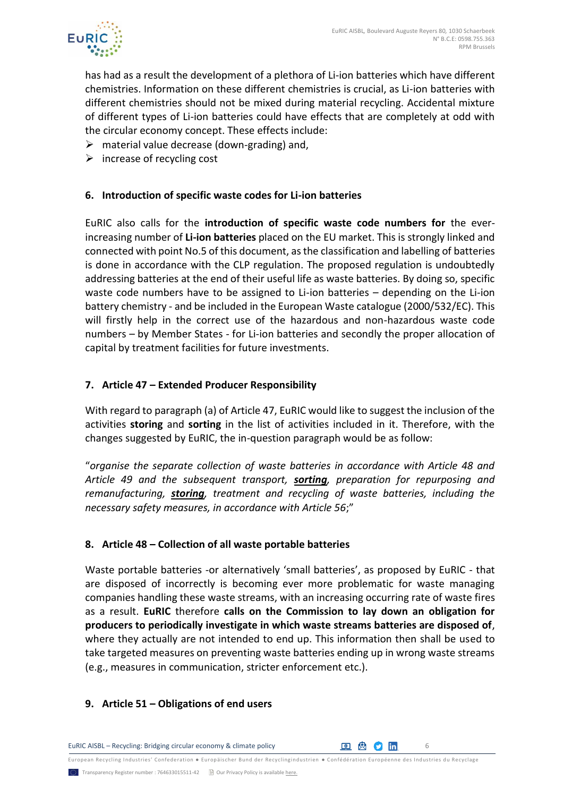

has had as a result the development of a plethora of Li-ion batteries which have different chemistries. Information on these different chemistries is crucial, as Li-ion batteries with different chemistries should not be mixed during material recycling. Accidental mixture of different types of Li-ion batteries could have effects that are completely at odd with the circular economy concept. These effects include:

- $\triangleright$  material value decrease (down-grading) and,
- $\triangleright$  increase of recycling cost

#### **6. Introduction of specific waste codes for Li-ion batteries**

EuRIC also calls for the **introduction of specific waste code numbers for** the everincreasing number of **Li-ion batteries** placed on the EU market. This is strongly linked and connected with point No.5 of this document, as the classification and labelling of batteries is done in accordance with the CLP regulation. The proposed regulation is undoubtedly addressing batteries at the end of their useful life as waste batteries. By doing so, specific waste code numbers have to be assigned to Li-ion batteries – depending on the Li-ion battery chemistry - and be included in the European Waste catalogue (2000/532/EC). This will firstly help in the correct use of the hazardous and non-hazardous waste code numbers – by Member States - for Li-ion batteries and secondly the proper allocation of capital by treatment facilities for future investments.

#### **7. Article 47 – Extended Producer Responsibility**

With regard to paragraph (a) of Article 47, EuRIC would like to suggest the inclusion of the activities **storing** and **sorting** in the list of activities included in it. Therefore, with the changes suggested by EuRIC, the in-question paragraph would be as follow:

"*organise the separate collection of waste batteries in accordance with Article 48 and Article 49 and the subsequent transport, sorting, preparation for repurposing and remanufacturing, storing, treatment and recycling of waste batteries, including the necessary safety measures, in accordance with Article 56*;"

#### **8. Article 48 – Collection of all waste portable batteries**

Waste portable batteries -or alternatively 'small batteries', as proposed by EuRIC - that are disposed of incorrectly is becoming ever more problematic for waste managing companies handling these waste streams, with an increasing occurring rate of waste fires as a result. **EuRIC** therefore **calls on the Commission to lay down an obligation for producers to periodically investigate in which waste streams batteries are disposed of**, where they actually are not intended to end up. This information then shall be used to take targeted measures on preventing waste batteries ending up in wrong waste streams (e.g., measures in communication, stricter enforcement etc.).

#### **9. Article 51 – Obligations of end users**

EuRIC AISBL – Recycling: Bridging circular economy & climate policy **6 6 6 6 6 6 6 6 7 7 7 7 6 6 6 6 7 7 7 8 6 7 7 8 7 7 8 7 7 8 7 7 8 7 7 8 7 7 8 7 7 8 7 7 8 7 7 8 7 7 8 7 7 8 7 7 8 7 7 8 7 7 8 7 7 8 7 7 8 7 7 8 7 7 8 7 7**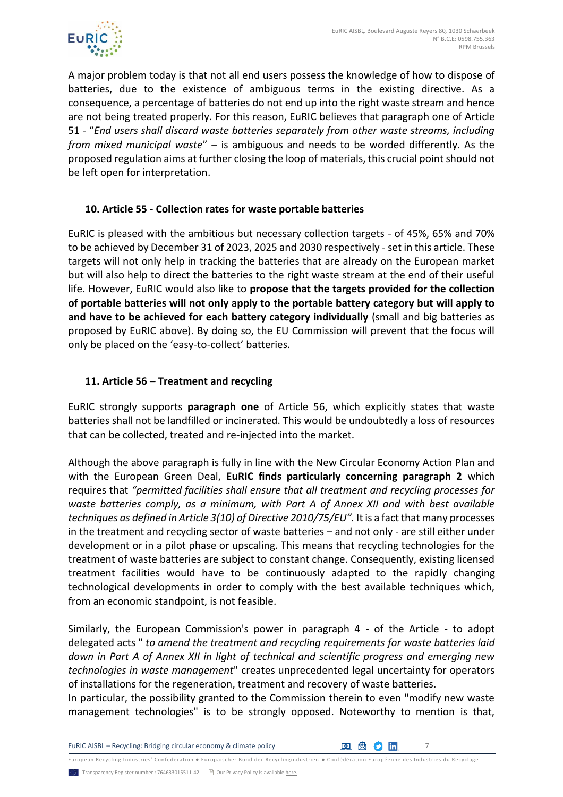

A major problem today is that not all end users possess the knowledge of how to dispose of batteries, due to the existence of ambiguous terms in the existing directive. As a consequence, a percentage of batteries do not end up into the right waste stream and hence are not being treated properly. For this reason, EuRIC believes that paragraph one of Article 51 - "*End users shall discard waste batteries separately from other waste streams, including from mixed municipal waste*" – is ambiguous and needs to be worded differently. As the proposed regulation aims at further closing the loop of materials, this crucial point should not be left open for interpretation.

# **10. Article 55 - Collection rates for waste portable batteries**

EuRIC is pleased with the ambitious but necessary collection targets - of 45%, 65% and 70% to be achieved by December 31 of 2023, 2025 and 2030 respectively - set in this article. These targets will not only help in tracking the batteries that are already on the European market but will also help to direct the batteries to the right waste stream at the end of their useful life. However, EuRIC would also like to **propose that the targets provided for the collection of portable batteries will not only apply to the portable battery category but will apply to and have to be achieved for each battery category individually** (small and big batteries as proposed by EuRIC above). By doing so, the EU Commission will prevent that the focus will only be placed on the 'easy-to-collect' batteries.

# **11. Article 56 – Treatment and recycling**

EuRIC strongly supports **paragraph one** of Article 56, which explicitly states that waste batteries shall not be landfilled or incinerated. This would be undoubtedly a loss of resources that can be collected, treated and re-injected into the market.

Although the above paragraph is fully in line with the New Circular Economy Action Plan and with the European Green Deal, **EuRIC finds particularly concerning paragraph 2** which requires that *"permitted facilities shall ensure that all treatment and recycling processes for waste batteries comply, as a minimum, with Part A of Annex XII and with best available techniques as defined in Article 3(10) of Directive 2010/75/EU".* It is a fact that many processes in the treatment and recycling sector of waste batteries – and not only - are still either under development or in a pilot phase or upscaling. This means that recycling technologies for the treatment of waste batteries are subject to constant change. Consequently, existing licensed treatment facilities would have to be continuously adapted to the rapidly changing technological developments in order to comply with the best available techniques which, from an economic standpoint, is not feasible.

Similarly, the European Commission's power in paragraph 4 - of the Article - to adopt delegated acts " *to amend the treatment and recycling requirements for waste batteries laid down in Part A of Annex XII in light of technical and scientific progress and emerging new technologies in waste management*" creates unprecedented legal uncertainty for operators of installations for the regeneration, treatment and recovery of waste batteries.

In particular, the possibility granted to the Commission therein to even "modify new waste management technologies" is to be strongly opposed. Noteworthy to mention is that,

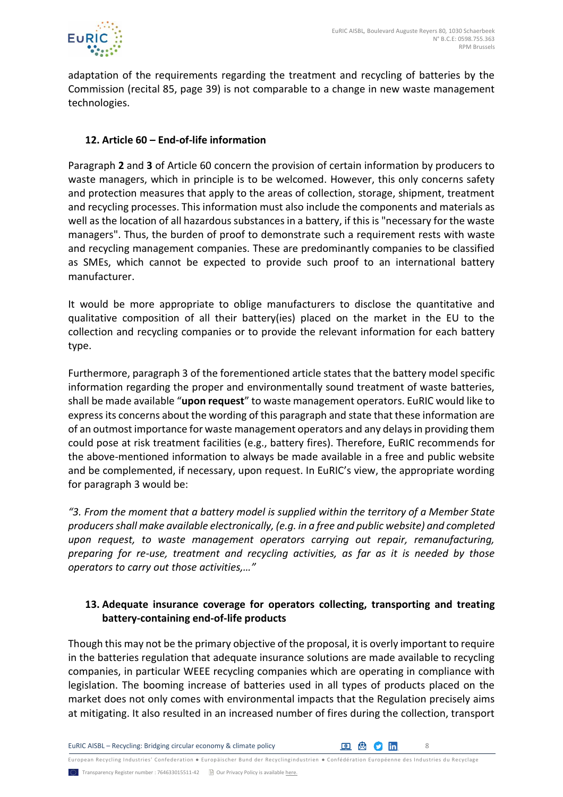

adaptation of the requirements regarding the treatment and recycling of batteries by the Commission (recital 85, page 39) is not comparable to a change in new waste management technologies.

#### **12. Article 60 – End-of-life information**

Paragraph **2** and **3** of Article 60 concern the provision of certain information by producers to waste managers, which in principle is to be welcomed. However, this only concerns safety and protection measures that apply to the areas of collection, storage, shipment, treatment and recycling processes. This information must also include the components and materials as well as the location of all hazardous substances in a battery, if this is "necessary for the waste managers". Thus, the burden of proof to demonstrate such a requirement rests with waste and recycling management companies. These are predominantly companies to be classified as SMEs, which cannot be expected to provide such proof to an international battery manufacturer.

It would be more appropriate to oblige manufacturers to disclose the quantitative and qualitative composition of all their battery(ies) placed on the market in the EU to the collection and recycling companies or to provide the relevant information for each battery type.

Furthermore, paragraph 3 of the forementioned article states that the battery model specific information regarding the proper and environmentally sound treatment of waste batteries, shall be made available "**upon request**" to waste management operators. EuRIC would like to express its concerns about the wording of this paragraph and state that these information are of an outmost importance for waste management operators and any delays in providing them could pose at risk treatment facilities (e.g., battery fires). Therefore, EuRIC recommends for the above-mentioned information to always be made available in a free and public website and be complemented, if necessary, upon request. In EuRIC's view, the appropriate wording for paragraph 3 would be:

*"3. From the moment that a battery model is supplied within the territory of a Member State producers shall make available electronically, (e.g. in a free and public website) and completed upon request, to waste management operators carrying out repair, remanufacturing, preparing for re-use, treatment and recycling activities, as far as it is needed by those operators to carry out those activities,…"*

# **13. Adequate insurance coverage for operators collecting, transporting and treating battery-containing end-of-life products**

Though this may not be the primary objective of the proposal, it is overly important to require in the batteries regulation that adequate insurance solutions are made available to recycling companies, in particular WEEE recycling companies which are operating in compliance with legislation. The booming increase of batteries used in all types of products placed on the market does not only comes with environmental impacts that the Regulation precisely aims at mitigating. It also resulted in an increased number of fires during the collection, transport